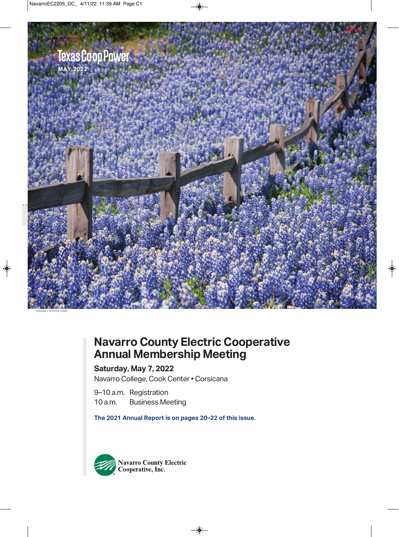

## **Navarro County Electric Cooperative Annual Membership Meeting**

### **Saturday, May 7, 2022**

Navarro College, Cook Center • Corsicana

9–10 a.m. Registration<br>10 a.m. Business Me **Business Meeting** 

**The 2021 Annual Report is on pages 20–22 of this issue.**

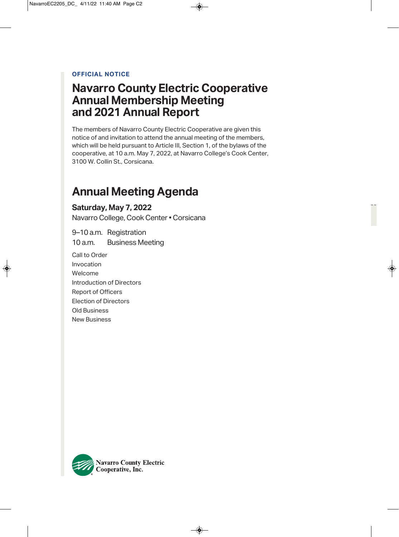### **OFFICIAL NOTICE**

### **Navarro County Electric Cooperative Annual Membership Meeting and 2021 Annual Report**

The members of Navarro County Electric Cooperative are given this notice of and invitation to attend the annual meeting of the members, which will be held pursuant to Article III, Section 1, of the bylaws of the cooperative, at 10 a.m. May 7, 2022, at Navarro College's Cook Center, 3100 W. Collin St., Corsicana.

## **Annual Meeting Agenda**

### **Saturday, May 7, 2022**

Navarro College, Cook Center • Corsicana

9–10 a.m. Registration 10 a.m. Business Meeting

Call to Order Invocation Welcome Introduction of Directors Report of Officers Election of Directors Old Business New Business

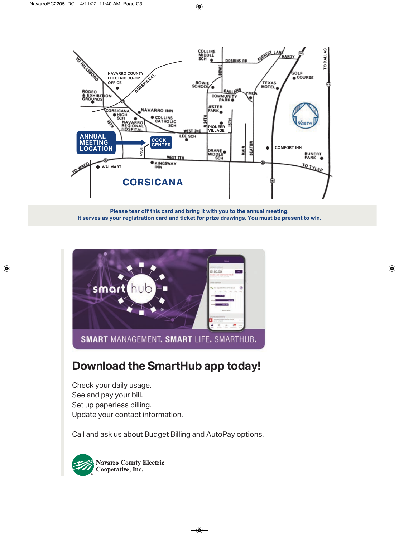

**Please tear off this card and bring it with you to the annual meeting. It serves as your registration card and ticket for prize drawings. You must be present to win.**



## **Download the SmartHub app today!**

Check your daily usage. See and pay your bill. Set up paperless billing. Update your contact information.

Call and ask us about Budget Billing and AutoPay options.

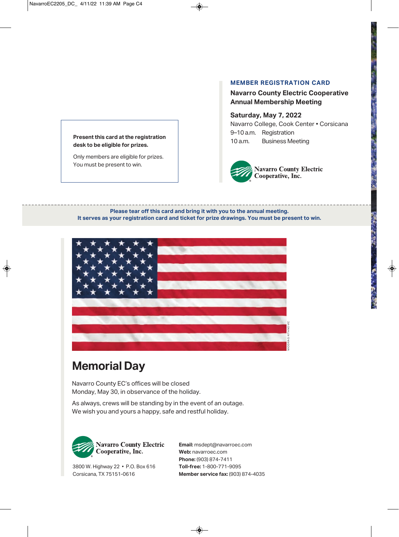### **Present this card at the registration desk to be eligible for prizes.**

Only members are eligible for prizes. You must be present to win.

### **MEMBER REGISTRATION CARD**

### **Navarro County Electric Cooperative Annual Membership Meeting**

### **Saturday, May 7, 2022** Navarro College, Cook Center • Corsicana

9-10 a.m. Registration 10 a.m. Business Meeting



### **Please tear off this card and bring it with you to the annual meeting. It serves as your registration card and ticket for prize drawings. You must be present to win.**



## **Memorial Day**

navarro county Ec's offices will be closed Monday, May 30, in observance of the holiday.

As always, crews will be standing by in the event of an outage. We wish you and yours a happy, safe and restful holiday.



3800 W. Highway 22 • P.O. Box 616 corsicana, tX 75151-0616

**Email:** msdept@navarroec.com **Web:** navarroec.com **Phone:** (903) 874-7411 **Toll-free:** 1-800-771-9095 **Member service fax:** (903) 874-4035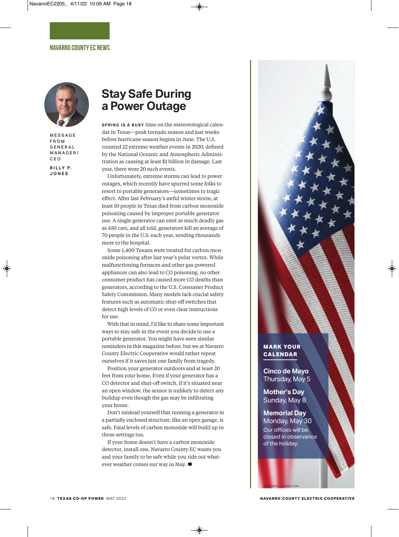

**MFSSAGE** F R O M G E N E R A L M A N A G E R / C E O **B I L LY P.**

**J O N E S**

### **Stay Safe During a Power Outage**

**SPRING IS A BUSY time on the meteorological calen**dar in Texas—peak tornado season and just weeks before hurricane season begins in June. The U.S. counted 22 extreme weather events in 2020, defined by the National Oceanic and Atmospheric Administration as causing at least \$1 billion in damage. Last year, there were 20 such events.

Unfortunately, extreme storms can lead to power outages, which recently have spurred some folks to resort to portable generators—sometimes to tragic effect. After last February's awful winter storm, at least 10 people in Texas died from carbon monoxide poisoning caused by improper portable generator use. A single generator can emit as much deadly gas as 450 cars, and all told, generators kill an average of 70 people in the U.S. each year, sending thousands more to the hospital.

Some 1,400 Texans were treated for carbon monoxide poisoning after last year's polar vortex. While malfunctioning furnaces and other gas-powered appliances can also lead to CO poisoning, no other consumer product has caused more CO deaths than generators, according to the U.S. Consumer Product Safety Commission. Many models lack crucial safety features such as automatic shut-off switches that detect high levels of CO or even clear instructions for use.

With that in mind, I'd like to share some important ways to stay safe in the event you decide to use a portable generator. You might have seen similar reminders in this magazine before, but we at Navarro County Electric Cooperative would rather repeat ourselves if it saves just one family from tragedy.

Position your generator outdoors and at least 20 feet from your home. Even if your generator has a CO detector and shut-off switch, if it's situated near an open window, the sensor is unlikely to detect any buildup even though the gas may be infiltrating your home.

Don't mislead yourself that running a generator in a partially enclosed structure, like an open garage, is safe. Fatal levels of carbon monoxide will build up in those settings too.

If your home doesn't have a carbon monoxide detector, install one. Navarro County EC wants you and your family to be safe while you ride out whatever weather comes our way in May. **D**



### **mark your calendar**

**Cinco de Mayo** Thursday, May 5

**Mother's Day** Sunday, May 8

### **Memorial Day**

Butenkow | iStock .com

Monday, May 30 Our offices will be closed in observance of the holiday.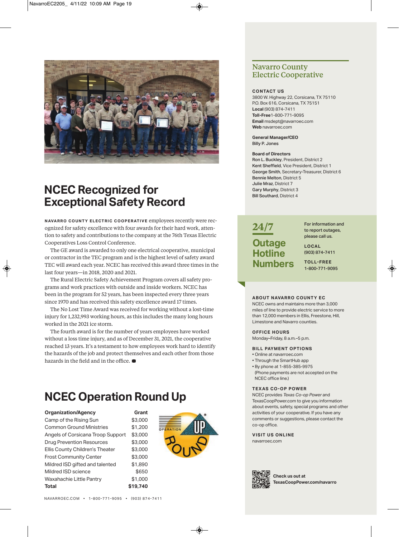

## **NCEC Recognized for Exceptional Safety Record**

**NAVARRO COUNTY ELECTRIC COOPERATIVE employees recently were rec**ognized for safety excellence with four awards for their hard work, attention to safety and contributions to the company at the 76th Texas Electric Cooperatives Loss Control Conference.

The GE award is awarded to only one electrical cooperative, municipal or contractor in the TEC program and is the highest level of safety award TEC will award each year. NCEC has received this award three times in the last four years—in 2018, 2020 and 2021.

The Rural Electric Safety Achievement Program covers all safety programs and work practices with outside and inside workers. NCEC has been in the program for 52 years, has been inspected every three years since 1970 and has received this safety excellence award 17 times.

The No Lost Time Award was received for working without a lost-time injury for 1,232,993 working hours, as this includes the many long hours worked in the 2021 ice storm.

The fourth award is for the number of years employees have worked without a loss time injury, and as of December 31, 2021, the cooperative reached 13 years. It's a testament to how employees work hard to identify the hazards of the job and protect themselves and each other from those hazards in the field and in the office. **D**

## **NCEC Operation Round Up**

| <b>Organization/Agency</b>        | Grant    |
|-----------------------------------|----------|
| Camp of the Rising Sun            | \$3,000  |
| <b>Common Ground Ministries</b>   | \$1,200  |
| Angels of Corsicana Troop Support | \$3,000  |
| <b>Drug Prevention Resources</b>  | \$3,000  |
| Ellis County Children's Theater   | \$3,000  |
| <b>Frost Community Center</b>     | \$3,000  |
| Mildred ISD gifted and talented   | \$1,890  |
| Mildred ISD science               | \$650    |
| Waxahachie Little Pantry          | \$1,000  |
| <b>Total</b>                      | \$19,740 |



### **Navarro County Electric Cooperative**

#### **CONTACT US**

3800 W. Highway 22, Corsicana, TX 75110 P.O. Box 616, Corsicana, TX 75151 **local** (903) 874-7411 **Toll-free**1-800-771-9095 **Email** msdept@navarroec.com **web** navarroec.com

#### **General manager/CEO** Billy P. Jones

#### **board of Directors**

Ron L. Buckley, President, District 2 Kent Sheffield, Vice President, District 1 George Smith, Secretary-Treasurer, District 6 Bennie Melton, District 5 Julie Mraz, District 7 Gary Murphy, District 3 Bill Southard, District 4

### **24/7 Outage Hotline Numbers**

For information and to report outages, please call us.

**lOCAl** (903) 874-7411

**TOll-fREE** 1-800-771-9095

#### **ABOUT NAVARRO COUNTY EC**

NCEC owns and maintains more than 3,000 miles of line to provide electric service to more than 12,000 members in Ellis, Freestone, Hill, Limestone and Navarro counties.

#### **OffiCE HOURS**

Monday–Friday, 8 a.m.–5 p.m.

#### **bill pAymENT OpTiONS**

- Online at navarroec.com
- Through the SmartHub app
- By phone at 1-855-385-9975
- (Phone payments are not accepted on the NCEC office line.)

#### **TE x AS CO - Op pOwER**

NCEC provides *Texas Co-op Power* and TexasCoopPower.com to give you information about events, safety, special programs and other activities of your cooperative. If you have any comments or suggestions, please contact the co-op office.

**viSiT US ONliNE** navarroec.com



**Check us out at TexasCooppower.com/navarro**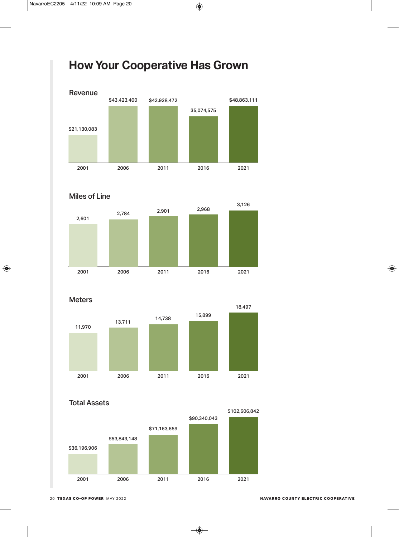## **How Your Cooperative Has Grown**









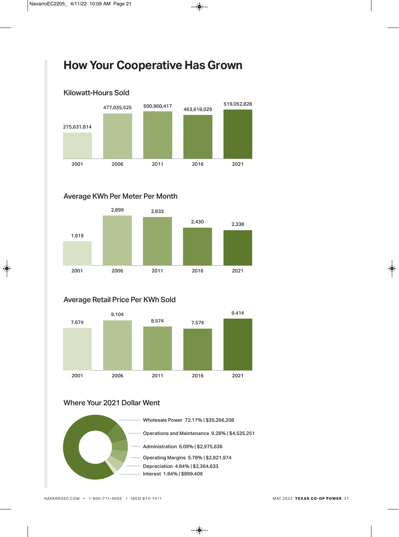## **How Your Cooperative Has Grown**



### Average KWh Per Meter Per Month



### Average Retail Price Per KWh Sold



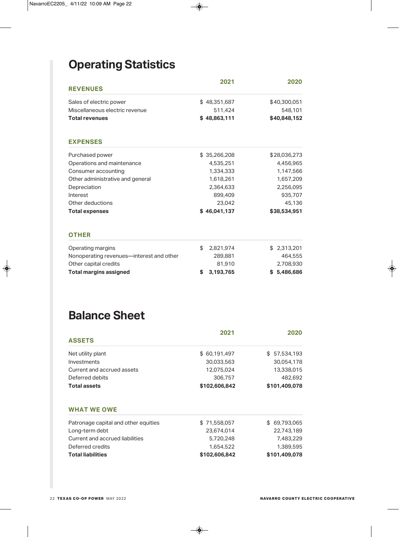## **Operating Statistics**

| <b>REVENUES</b>                          | 2021            | 2020         |
|------------------------------------------|-----------------|--------------|
| Sales of electric power                  | \$48,351,687    | \$40,300,051 |
| Miscellaneous electric revenue           | 511,424         | 548,101      |
| <b>Total revenues</b>                    | \$48,863,111    | \$40,848,152 |
| <b>EXPENSES</b>                          |                 |              |
| Purchased power                          | \$35,266,208    | \$28,036,273 |
| Operations and maintenance               | 4,535,251       | 4,456,965    |
| Consumer accounting                      | 1,334,333       | 1,147,566    |
| Other administrative and general         | 1,618,261       | 1,657,209    |
| Depreciation                             | 2,364,633       | 2,256,095    |
| Interest                                 | 899,409         | 935,707      |
| Other deductions                         | 23,042          | 45,136       |
| <b>Total expenses</b>                    | \$46,041,137    | \$38,534,951 |
| <b>OTHER</b>                             |                 |              |
| Operating margins                        | \$<br>2,821,974 | \$2,313,201  |
| Nonoperating revenues—interest and other | 289,881         | 464,555      |
| Other capital credits                    | 81,910          | 2,708,930    |
| <b>Total margins assigned</b>            | 3,193,765<br>S  | \$5,486,686  |

## **Balance Sheet**

|                                      | 2021          | 2020          |  |
|--------------------------------------|---------------|---------------|--|
| <b>ASSETS</b>                        |               |               |  |
| Net utility plant                    | \$60,191,497  | \$57,534,193  |  |
| Investments                          | 30,033,563    | 30,054,178    |  |
| Current and accrued assets           | 12,075,024    | 13,338,015    |  |
| Deferred debits                      | 306,757       | 482,692       |  |
| <b>Total assets</b>                  | \$102,606,842 | \$101,409,078 |  |
| <b>WHAT WE OWE</b>                   |               |               |  |
| Patronage capital and other equities | \$71,558,057  | \$ 69,793,065 |  |
| Long-term debt                       | 23,674,014    | 22,743,189    |  |
| Current and accrued liabilities      | 5,720,248     | 7,483,229     |  |
| Deferred credits                     | 1,654,522     | 1,389,595     |  |
| <b>Total liabilities</b>             | \$102,606,842 | \$101,409,078 |  |